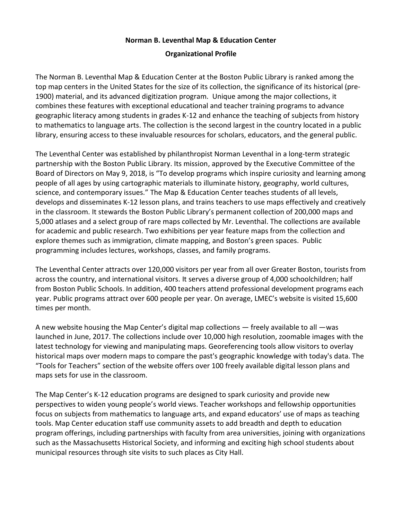## **Norman B. Leventhal Map & Education Center**

## **Organizational Profile**

The Norman B. Leventhal Map & Education Center at the Boston Public Library is ranked among the top map centers in the United States for the size of its collection, the significance of its historical (pre-1900) material, and its advanced digitization program. Unique among the major collections, it combines these features with exceptional educational and teacher training programs to advance geographic literacy among students in grades K-12 and enhance the teaching of subjects from history to mathematics to language arts. The collection is the second largest in the country located in a public library, ensuring access to these invaluable resources for scholars, educators, and the general public.

The Leventhal Center was established by philanthropist Norman Leventhal in a long-term strategic partnership with the Boston Public Library. Its mission, approved by the Executive Committee of the Board of Directors on May 9, 2018, is "To develop programs which inspire curiosity and learning among people of all ages by using cartographic materials to illuminate history, geography, world cultures, science, and contemporary issues." The Map & Education Center teaches students of all levels, develops and disseminates K-12 lesson plans, and trains teachers to use maps effectively and creatively in the classroom. It stewards the Boston Public Library's permanent collection of 200,000 maps and 5,000 atlases and a select group of rare maps collected by Mr. Leventhal. The collections are available for academic and public research. Two exhibitions per year feature maps from the collection and explore themes such as immigration, climate mapping, and Boston's green spaces. Public programming includes lectures, workshops, classes, and family programs.

The Leventhal Center attracts over 120,000 visitors per year from all over Greater Boston, tourists from across the country, and international visitors. It serves a diverse group of 4,000 schoolchildren; half from Boston Public Schools. In addition, 400 teachers attend professional development programs each year. Public programs attract over 600 people per year. On average, LMEC's website is visited 15,600 times per month.

A new website housing the Map Center's digital map collections — freely available to all —was launched in June, 2017. The collections include over 10,000 high resolution, zoomable images with the latest technology for viewing and manipulating maps. Georeferencing tools allow visitors to overlay historical maps over modern maps to compare the past's geographic knowledge with today's data. The "Tools for Teachers" section of the website offers over 100 freely available digital lesson plans and maps sets for use in the classroom.

The Map Center's K-12 education programs are designed to spark curiosity and provide new perspectives to widen young people's world views. Teacher workshops and fellowship opportunities focus on subjects from mathematics to language arts, and expand educators' use of maps as teaching tools. Map Center education staff use community assets to add breadth and depth to education program offerings, including partnerships with faculty from area universities, joining with organizations such as the Massachusetts Historical Society, and informing and exciting high school students about municipal resources through site visits to such places as City Hall.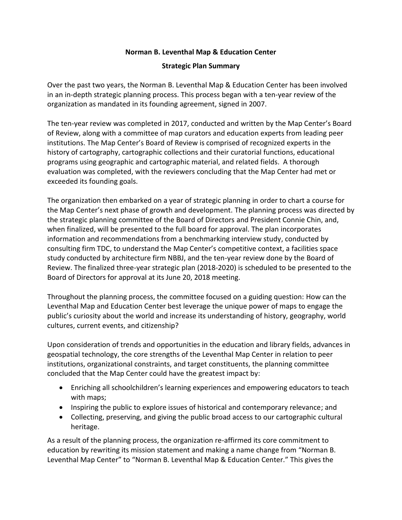## **Norman B. Leventhal Map & Education Center**

### **Strategic Plan Summary**

Over the past two years, the Norman B. Leventhal Map & Education Center has been involved in an in-depth strategic planning process. This process began with a ten-year review of the organization as mandated in its founding agreement, signed in 2007.

The ten-year review was completed in 2017, conducted and written by the Map Center's Board of Review, along with a committee of map curators and education experts from leading peer institutions. The Map Center's Board of Review is comprised of recognized experts in the history of cartography, cartographic collections and their curatorial functions, educational programs using geographic and cartographic material, and related fields. A thorough evaluation was completed, with the reviewers concluding that the Map Center had met or exceeded its founding goals.

The organization then embarked on a year of strategic planning in order to chart a course for the Map Center's next phase of growth and development. The planning process was directed by the strategic planning committee of the Board of Directors and President Connie Chin, and, when finalized, will be presented to the full board for approval. The plan incorporates information and recommendations from a benchmarking interview study, conducted by consulting firm TDC, to understand the Map Center's competitive context, a facilities space study conducted by architecture firm NBBJ, and the ten-year review done by the Board of Review. The finalized three-year strategic plan (2018-2020) is scheduled to be presented to the Board of Directors for approval at its June 20, 2018 meeting.

Throughout the planning process, the committee focused on a guiding question: How can the Leventhal Map and Education Center best leverage the unique power of maps to engage the public's curiosity about the world and increase its understanding of history, geography, world cultures, current events, and citizenship?

Upon consideration of trends and opportunities in the education and library fields, advances in geospatial technology, the core strengths of the Leventhal Map Center in relation to peer institutions, organizational constraints, and target constituents, the planning committee concluded that the Map Center could have the greatest impact by:

- Enriching all schoolchildren's learning experiences and empowering educators to teach with maps;
- Inspiring the public to explore issues of historical and contemporary relevance; and
- Collecting, preserving, and giving the public broad access to our cartographic cultural heritage.

As a result of the planning process, the organization re-affirmed its core commitment to education by rewriting its mission statement and making a name change from "Norman B. Leventhal Map Center" to "Norman B. Leventhal Map & Education Center." This gives the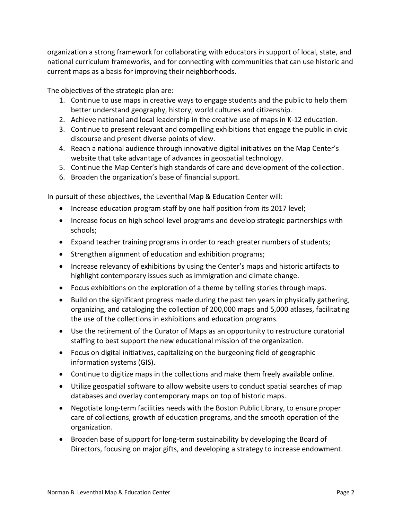organization a strong framework for collaborating with educators in support of local, state, and national curriculum frameworks, and for connecting with communities that can use historic and current maps as a basis for improving their neighborhoods.

The objectives of the strategic plan are:

- 1. Continue to use maps in creative ways to engage students and the public to help them better understand geography, history, world cultures and citizenship.
- 2. Achieve national and local leadership in the creative use of maps in K-12 education.
- 3. Continue to present relevant and compelling exhibitions that engage the public in civic discourse and present diverse points of view.
- 4. Reach a national audience through innovative digital initiatives on the Map Center's website that take advantage of advances in geospatial technology.
- 5. Continue the Map Center's high standards of care and development of the collection.
- 6. Broaden the organization's base of financial support.

In pursuit of these objectives, the Leventhal Map & Education Center will:

- Increase education program staff by one half position from its 2017 level;
- Increase focus on high school level programs and develop strategic partnerships with schools;
- Expand teacher training programs in order to reach greater numbers of students;
- Strengthen alignment of education and exhibition programs;
- Increase relevancy of exhibitions by using the Center's maps and historic artifacts to highlight contemporary issues such as immigration and climate change.
- Focus exhibitions on the exploration of a theme by telling stories through maps.
- Build on the significant progress made during the past ten years in physically gathering, organizing, and cataloging the collection of 200,000 maps and 5,000 atlases, facilitating the use of the collections in exhibitions and education programs.
- Use the retirement of the Curator of Maps as an opportunity to restructure curatorial staffing to best support the new educational mission of the organization.
- Focus on digital initiatives, capitalizing on the burgeoning field of geographic information systems (GIS).
- Continue to digitize maps in the collections and make them freely available online.
- Utilize geospatial software to allow website users to conduct spatial searches of map databases and overlay contemporary maps on top of historic maps.
- Negotiate long-term facilities needs with the Boston Public Library, to ensure proper care of collections, growth of education programs, and the smooth operation of the organization.
- Broaden base of support for long-term sustainability by developing the Board of Directors, focusing on major gifts, and developing a strategy to increase endowment.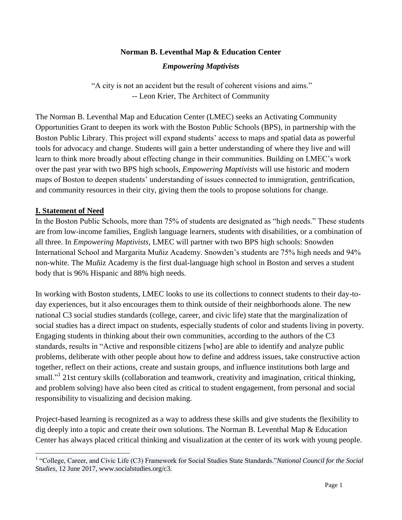# **Norman B. Leventhal Map & Education Center**

*Empowering Maptivists*

"A city is not an accident but the result of coherent visions and aims." -- Leon Krier, The Architect of Community

The Norman B. Leventhal Map and Education Center (LMEC) seeks an Activating Community Opportunities Grant to deepen its work with the Boston Public Schools (BPS), in partnership with the Boston Public Library. This project will expand students' access to maps and spatial data as powerful tools for advocacy and change. Students will gain a better understanding of where they live and will learn to think more broadly about effecting change in their communities. Building on LMEC's work over the past year with two BPS high schools, *Empowering Maptivists* will use historic and modern maps of Boston to deepen students' understanding of issues connected to immigration, gentrification, and community resources in their city, giving them the tools to propose solutions for change.

#### **I. Statement of Need**

In the Boston Public Schools, more than 75% of students are designated as "high needs." These students are from low-income families, English language learners, students with disabilities, or a combination of all three. In *Empowering Maptivists,* LMEC will partner with two BPS high schools: Snowden International School and Margarita Muñiz Academy. Snowden's students are 75% high needs and 94% non-white. The Muñiz Academy is the first dual-language high school in Boston and serves a student body that is 96% Hispanic and 88% high needs.

In working with Boston students, LMEC looks to use its collections to connect students to their day-today experiences, but it also encourages them to think outside of their neighborhoods alone. The new national C3 social studies standards (college, career, and civic life) state that the marginalization of social studies has a direct impact on students, especially students of color and students living in poverty. Engaging students in thinking about their own communities, according to the authors of the C3 standards, results in "Active and responsible citizens [who] are able to identify and analyze public problems, deliberate with other people about how to define and address issues, take constructive action together, reflect on their actions, create and sustain groups, and influence institutions both large and small."<sup>1</sup> 21st century skills (collaboration and teamwork, creativity and imagination, critical thinking, and problem solving) have also been cited as critical to student engagement, from personal and social responsibility to visualizing and decision making.

Project-based learning is recognized as a way to address these skills and give students the flexibility to dig deeply into a topic and create their own solutions. The Norman B. Leventhal Map & Education Center has always placed critical thinking and visualization at the center of its work with young people.

<sup>&</sup>lt;sup>1</sup> "College, Career, and Civic Life (C3) Framework for Social Studies State Standards."*National Council for the Social Studies*, 12 June 2017, www.socialstudies.org/c3.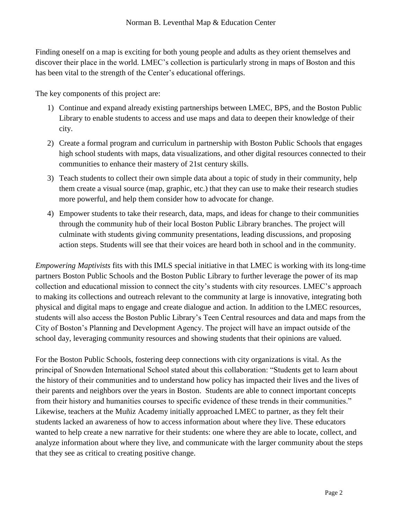Finding oneself on a map is exciting for both young people and adults as they orient themselves and discover their place in the world. LMEC's collection is particularly strong in maps of Boston and this has been vital to the strength of the Center's educational offerings.

The key components of this project are:

- 1) Continue and expand already existing partnerships between LMEC, BPS, and the Boston Public Library to enable students to access and use maps and data to deepen their knowledge of their city.
- 2) Create a formal program and curriculum in partnership with Boston Public Schools that engages high school students with maps, data visualizations, and other digital resources connected to their communities to enhance their mastery of 21st century skills.
- 3) Teach students to collect their own simple data about a topic of study in their community, help them create a visual source (map, graphic, etc.) that they can use to make their research studies more powerful, and help them consider how to advocate for change.
- 4) Empower students to take their research, data, maps, and ideas for change to their communities through the community hub of their local Boston Public Library branches. The project will culminate with students giving community presentations, leading discussions, and proposing action steps. Students will see that their voices are heard both in school and in the community.

*Empowering Maptivists* fits with this IMLS special initiative in that LMEC is working with its long-time partners Boston Public Schools and the Boston Public Library to further leverage the power of its map collection and educational mission to connect the city's students with city resources. LMEC's approach to making its collections and outreach relevant to the community at large is innovative, integrating both physical and digital maps to engage and create dialogue and action. In addition to the LMEC resources, students will also access the Boston Public Library's Teen Central resources and data and maps from the City of Boston's Planning and Development Agency. The project will have an impact outside of the school day, leveraging community resources and showing students that their opinions are valued.

For the Boston Public Schools, fostering deep connections with city organizations is vital. As the principal of Snowden International School stated about this collaboration: "Students get to learn about the history of their communities and to understand how policy has impacted their lives and the lives of their parents and neighbors over the years in Boston. Students are able to connect important concepts from their history and humanities courses to specific evidence of these trends in their communities." Likewise, teachers at the Muñiz Academy initially approached LMEC to partner, as they felt their students lacked an awareness of how to access information about where they live. These educators wanted to help create a new narrative for their students: one where they are able to locate, collect, and analyze information about where they live, and communicate with the larger community about the steps that they see as critical to creating positive change.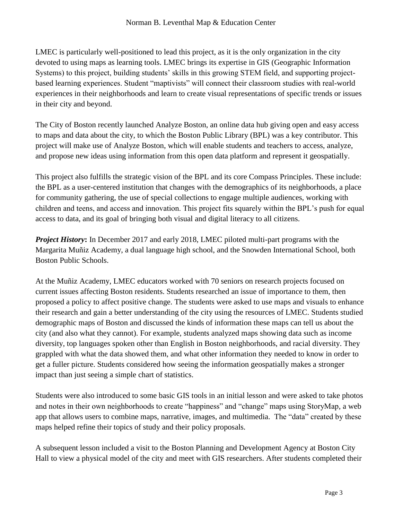LMEC is particularly well-positioned to lead this project, as it is the only organization in the city devoted to using maps as learning tools. LMEC brings its expertise in GIS (Geographic Information Systems) to this project, building students' skills in this growing STEM field, and supporting projectbased learning experiences. Student "maptivists" will connect their classroom studies with real-world experiences in their neighborhoods and learn to create visual representations of specific trends or issues in their city and beyond.

The City of Boston recently launched Analyze Boston, an online data hub giving open and easy access to maps and data about the city, to which the Boston Public Library (BPL) was a key contributor. This project will make use of Analyze Boston, which will enable students and teachers to access, analyze, and propose new ideas using information from this open data platform and represent it geospatially.

This project also fulfills the strategic vision of the BPL and its core Compass Principles. These include: the BPL as a user-centered institution that changes with the demographics of its neighborhoods, a place for community gathering, the use of special collections to engage multiple audiences, working with children and teens, and access and innovation. This project fits squarely within the BPL's push for equal access to data, and its goal of bringing both visual and digital literacy to all citizens.

*Project History*: In December 2017 and early 2018, LMEC piloted multi-part programs with the Margarita Muñiz Academy, a dual language high school, and the Snowden International School, both Boston Public Schools.

At the Muñiz Academy, LMEC educators worked with 70 seniors on research projects focused on current issues affecting Boston residents. Students researched an issue of importance to them, then proposed a policy to affect positive change. The students were asked to use maps and visuals to enhance their research and gain a better understanding of the city using the resources of LMEC. Students studied demographic maps of Boston and discussed the kinds of information these maps can tell us about the city (and also what they cannot). For example, students analyzed maps showing data such as income diversity, top languages spoken other than English in Boston neighborhoods, and racial diversity. They grappled with what the data showed them, and what other information they needed to know in order to get a fuller picture. Students considered how seeing the information geospatially makes a stronger impact than just seeing a simple chart of statistics.

Students were also introduced to some basic GIS tools in an initial lesson and were asked to take photos and notes in their own neighborhoods to create "happiness" and "change" maps using StoryMap, a web app that allows users to combine maps, narrative, images, and multimedia. The "data" created by these maps helped refine their topics of study and their policy proposals.

A subsequent lesson included a visit to the Boston Planning and Development Agency at Boston City Hall to view a physical model of the city and meet with GIS researchers. After students completed their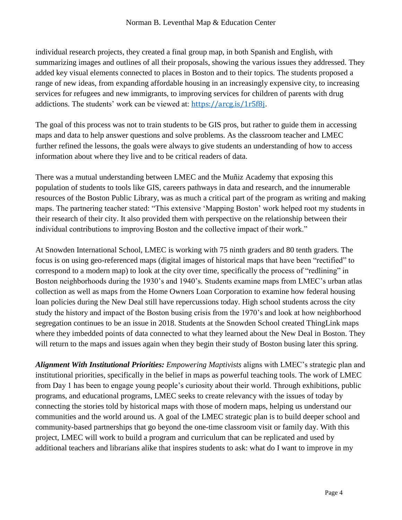individual research projects, they created a final group map, in both Spanish and English, with summarizing images and outlines of all their proposals, showing the various issues they addressed. They added key visual elements connected to places in Boston and to their topics. The students proposed a range of new ideas, from expanding affordable housing in an increasingly expensive city, to increasing services for refugees and new immigrants, to improving services for children of parents with drug addictions. The students' work can be viewed at: <https://arcg.is/1r5f8j>.

The goal of this process was not to train students to be GIS pros, but rather to guide them in accessing maps and data to help answer questions and solve problems. As the classroom teacher and LMEC further refined the lessons, the goals were always to give students an understanding of how to access information about where they live and to be critical readers of data.

There was a mutual understanding between LMEC and the Muñiz Academy that exposing this population of students to tools like GIS, careers pathways in data and research, and the innumerable resources of the Boston Public Library, was as much a critical part of the program as writing and making maps. The partnering teacher stated: "This extensive 'Mapping Boston' work helped root my students in their research of their city. It also provided them with perspective on the relationship between their individual contributions to improving Boston and the collective impact of their work."

At Snowden International School, LMEC is working with 75 ninth graders and 80 tenth graders. The focus is on using geo-referenced maps (digital images of historical maps that have been "rectified" to correspond to a modern map) to look at the city over time, specifically the process of "redlining" in Boston neighborhoods during the 1930's and 1940's. Students examine maps from LMEC's urban atlas collection as well as maps from the Home Owners Loan Corporation to examine how federal housing loan policies during the New Deal still have repercussions today. High school students across the city study the history and impact of the Boston busing crisis from the 1970's and look at how neighborhood segregation continues to be an issue in 2018. Students at the Snowden School created ThingLink maps where they imbedded points of data connected to what they learned about the New Deal in Boston. They will return to the maps and issues again when they begin their study of Boston busing later this spring.

*Alignment With Institutional Priorities: Empowering Maptivists* aligns with LMEC's strategic plan and institutional priorities, specifically in the belief in maps as powerful teaching tools. The work of LMEC from Day 1 has been to engage young people's curiosity about their world. Through exhibitions, public programs, and educational programs, LMEC seeks to create relevancy with the issues of today by connecting the stories told by historical maps with those of modern maps, helping us understand our communities and the world around us. A goal of the LMEC strategic plan is to build deeper school and community-based partnerships that go beyond the one-time classroom visit or family day. With this project, LMEC will work to build a program and curriculum that can be replicated and used by additional teachers and librarians alike that inspires students to ask: what do I want to improve in my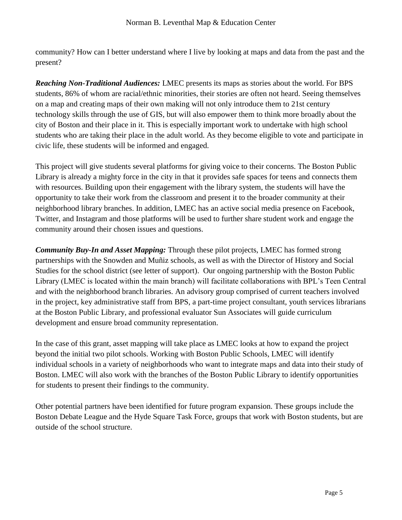community? How can I better understand where I live by looking at maps and data from the past and the present?

*Reaching Non-Traditional Audiences:* LMEC presents its maps as stories about the world. For BPS students, 86% of whom are racial/ethnic minorities, their stories are often not heard. Seeing themselves on a map and creating maps of their own making will not only introduce them to 21st century technology skills through the use of GIS, but will also empower them to think more broadly about the city of Boston and their place in it. This is especially important work to undertake with high school students who are taking their place in the adult world. As they become eligible to vote and participate in civic life, these students will be informed and engaged.

This project will give students several platforms for giving voice to their concerns. The Boston Public Library is already a mighty force in the city in that it provides safe spaces for teens and connects them with resources. Building upon their engagement with the library system, the students will have the opportunity to take their work from the classroom and present it to the broader community at their neighborhood library branches. In addition, LMEC has an active social media presence on Facebook, Twitter, and Instagram and those platforms will be used to further share student work and engage the community around their chosen issues and questions.

*Community Buy-In and Asset Mapping:* Through these pilot projects, LMEC has formed strong partnerships with the Snowden and Muñiz schools, as well as with the Director of History and Social Studies for the school district (see letter of support). Our ongoing partnership with the Boston Public Library (LMEC is located within the main branch) will facilitate collaborations with BPL's Teen Central and with the neighborhood branch libraries. An advisory group comprised of current teachers involved in the project, key administrative staff from BPS, a part-time project consultant, youth services librarians at the Boston Public Library, and professional evaluator Sun Associates will guide curriculum development and ensure broad community representation.

In the case of this grant, asset mapping will take place as LMEC looks at how to expand the project beyond the initial two pilot schools. Working with Boston Public Schools, LMEC will identify individual schools in a variety of neighborhoods who want to integrate maps and data into their study of Boston. LMEC will also work with the branches of the Boston Public Library to identify opportunities for students to present their findings to the community.

Other potential partners have been identified for future program expansion. These groups include the Boston Debate League and the Hyde Square Task Force, groups that work with Boston students, but are outside of the school structure.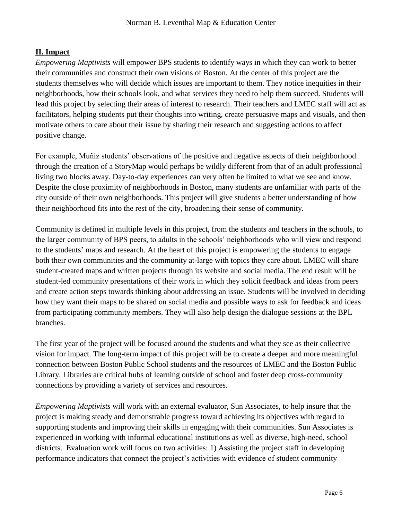# **II. Impact**

*Empowering Maptivists* will empower BPS students to identify ways in which they can work to better their communities and construct their own visions of Boston. At the center of this project are the students themselves who will decide which issues are important to them. They notice inequities in their neighborhoods, how their schools look, and what services they need to help them succeed. Students will lead this project by selecting their areas of interest to research. Their teachers and LMEC staff will act as facilitators, helping students put their thoughts into writing, create persuasive maps and visuals, and then motivate others to care about their issue by sharing their research and suggesting actions to affect positive change.

For example, Muñiz students' observations of the positive and negative aspects of their neighborhood through the creation of a StoryMap would perhaps be wildly different from that of an adult professional living two blocks away. Day-to-day experiences can very often be limited to what we see and know. Despite the close proximity of neighborhoods in Boston, many students are unfamiliar with parts of the city outside of their own neighborhoods. This project will give students a better understanding of how their neighborhood fits into the rest of the city, broadening their sense of community.

Community is defined in multiple levels in this project, from the students and teachers in the schools, to the larger community of BPS peers, to adults in the schools' neighborhoods who will view and respond to the students' maps and research. At the heart of this project is empowering the students to engage both their own communities and the community at-large with topics they care about. LMEC will share student-created maps and written projects through its website and social media. The end result will be student-led community presentations of their work in which they solicit feedback and ideas from peers and create action steps towards thinking about addressing an issue. Students will be involved in deciding how they want their maps to be shared on social media and possible ways to ask for feedback and ideas from participating community members. They will also help design the dialogue sessions at the BPL branches.

The first year of the project will be focused around the students and what they see as their collective vision for impact. The long-term impact of this project will be to create a deeper and more meaningful connection between Boston Public School students and the resources of LMEC and the Boston Public Library. Libraries are critical hubs of learning outside of school and foster deep cross-community connections by providing a variety of services and resources.

*Empowering Maptivists* will work with an external evaluator, Sun Associates, to help insure that the project is making steady and demonstrable progress toward achieving its objectives with regard to supporting students and improving their skills in engaging with their communities. Sun Associates is experienced in working with informal educational institutions as well as diverse, high-need, school districts. Evaluation work will focus on two activities: 1) Assisting the project staff in developing performance indicators that connect the project's activities with evidence of student community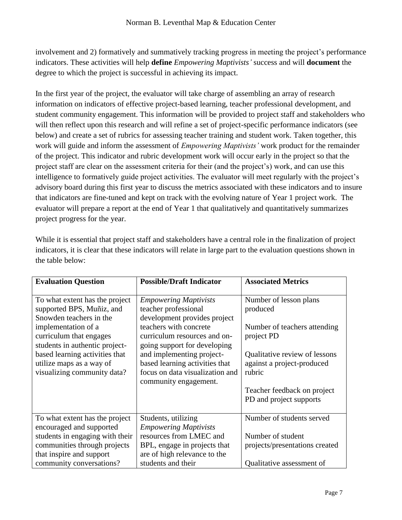involvement and 2) formatively and summatively tracking progress in meeting the project's performance indicators. These activities will help **define** *Empowering Maptivists'* success and will **document** the degree to which the project is successful in achieving its impact.

In the first year of the project, the evaluator will take charge of assembling an array of research information on indicators of effective project-based learning, teacher professional development, and student community engagement. This information will be provided to project staff and stakeholders who will then reflect upon this research and will refine a set of project-specific performance indicators (see below) and create a set of rubrics for assessing teacher training and student work. Taken together, this work will guide and inform the assessment of *Empowering Maptivists'* work product for the remainder of the project. This indicator and rubric development work will occur early in the project so that the project staff are clear on the assessment criteria for their (and the project's) work, and can use this intelligence to formatively guide project activities. The evaluator will meet regularly with the project's advisory board during this first year to discuss the metrics associated with these indicators and to insure that indicators are fine-tuned and kept on track with the evolving nature of Year 1 project work. The evaluator will prepare a report at the end of Year 1 that qualitatively and quantitatively summarizes project progress for the year.

While it is essential that project staff and stakeholders have a central role in the finalization of project indicators, it is clear that these indicators will relate in large part to the evaluation questions shown in the table below:

| <b>Evaluation Question</b>                                                                                                               | <b>Possible/Draft Indicator</b>                                                                                                                         | <b>Associated Metrics</b>                                                                                                       |
|------------------------------------------------------------------------------------------------------------------------------------------|---------------------------------------------------------------------------------------------------------------------------------------------------------|---------------------------------------------------------------------------------------------------------------------------------|
| To what extent has the project<br>supported BPS, Muñiz, and<br>Snowden teachers in the<br>implementation of a<br>curriculum that engages | <b>Empowering Maptivists</b><br>teacher professional<br>development provides project<br>teachers with concrete<br>curriculum resources and on-          | Number of lesson plans<br>produced<br>Number of teachers attending<br>project PD                                                |
| students in authentic project-<br>based learning activities that<br>utilize maps as a way of<br>visualizing community data?              | going support for developing<br>and implementing project-<br>based learning activities that<br>focus on data visualization and<br>community engagement. | Qualitative review of lessons<br>against a project-produced<br>rubric<br>Teacher feedback on project<br>PD and project supports |
| To what extent has the project<br>encouraged and supported                                                                               | Students, utilizing<br><b>Empowering Maptivists</b>                                                                                                     | Number of students served                                                                                                       |
| students in engaging with their<br>communities through projects<br>that inspire and support                                              | resources from LMEC and<br>BPL, engage in projects that<br>are of high relevance to the                                                                 | Number of student<br>projects/presentations created                                                                             |
| community conversations?                                                                                                                 | students and their                                                                                                                                      | Qualitative assessment of                                                                                                       |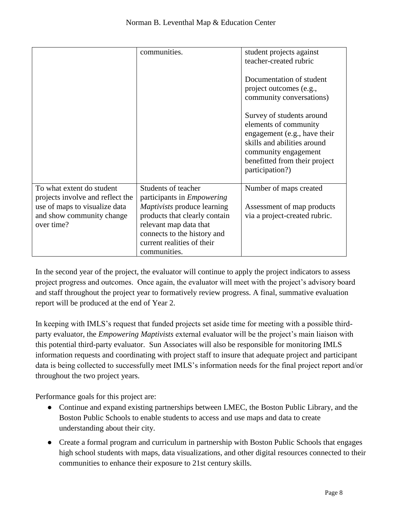|                                                               | communities.                                             | student projects against<br>teacher-created rubric                                                                                                                                            |
|---------------------------------------------------------------|----------------------------------------------------------|-----------------------------------------------------------------------------------------------------------------------------------------------------------------------------------------------|
|                                                               |                                                          | Documentation of student<br>project outcomes (e.g.,<br>community conversations)                                                                                                               |
|                                                               |                                                          | Survey of students around<br>elements of community<br>engagement (e.g., have their<br>skills and abilities around<br>community engagement<br>benefitted from their project<br>participation?) |
| To what extent do student<br>projects involve and reflect the | Students of teacher<br>participants in <i>Empowering</i> | Number of maps created                                                                                                                                                                        |
| use of maps to visualize data                                 | <i>Maptivists</i> produce learning                       | Assessment of map products                                                                                                                                                                    |
| and show community change                                     | products that clearly contain                            | via a project-created rubric.                                                                                                                                                                 |
| over time?                                                    | relevant map data that<br>connects to the history and    |                                                                                                                                                                                               |
|                                                               | current realities of their                               |                                                                                                                                                                                               |
|                                                               | communities.                                             |                                                                                                                                                                                               |

In the second year of the project, the evaluator will continue to apply the project indicators to assess project progress and outcomes. Once again, the evaluator will meet with the project's advisory board and staff throughout the project year to formatively review progress. A final, summative evaluation report will be produced at the end of Year 2.

In keeping with IMLS's request that funded projects set aside time for meeting with a possible thirdparty evaluator, the *Empowering Maptivists* external evaluator will be the project's main liaison with this potential third-party evaluator. Sun Associates will also be responsible for monitoring IMLS information requests and coordinating with project staff to insure that adequate project and participant data is being collected to successfully meet IMLS's information needs for the final project report and/or throughout the two project years.

Performance goals for this project are:

- Continue and expand existing partnerships between LMEC, the Boston Public Library, and the Boston Public Schools to enable students to access and use maps and data to create understanding about their city.
- Create a formal program and curriculum in partnership with Boston Public Schools that engages high school students with maps, data visualizations, and other digital resources connected to their communities to enhance their exposure to 21st century skills.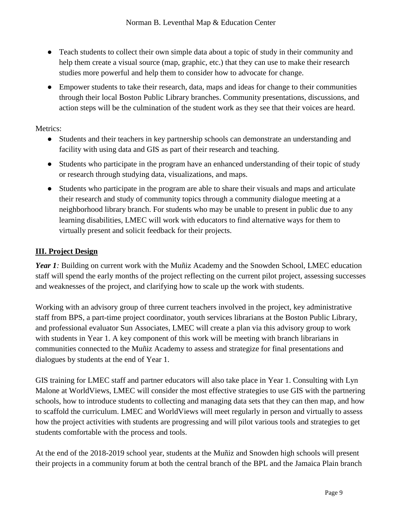- Teach students to collect their own simple data about a topic of study in their community and help them create a visual source (map, graphic, etc.) that they can use to make their research studies more powerful and help them to consider how to advocate for change.
- Empower students to take their research, data, maps and ideas for change to their communities through their local Boston Public Library branches. Community presentations, discussions, and action steps will be the culmination of the student work as they see that their voices are heard.

Metrics:

- Students and their teachers in key partnership schools can demonstrate an understanding and facility with using data and GIS as part of their research and teaching.
- Students who participate in the program have an enhanced understanding of their topic of study or research through studying data, visualizations, and maps.
- Students who participate in the program are able to share their visuals and maps and articulate their research and study of community topics through a community dialogue meeting at a neighborhood library branch. For students who may be unable to present in public due to any learning disabilities, LMEC will work with educators to find alternative ways for them to virtually present and solicit feedback for their projects.

# **III. Project Design**

*Year 1*: Building on current work with the Muñiz Academy and the Snowden School, LMEC education staff will spend the early months of the project reflecting on the current pilot project, assessing successes and weaknesses of the project, and clarifying how to scale up the work with students.

Working with an advisory group of three current teachers involved in the project, key administrative staff from BPS, a part-time project coordinator, youth services librarians at the Boston Public Library, and professional evaluator Sun Associates, LMEC will create a plan via this advisory group to work with students in Year 1. A key component of this work will be meeting with branch librarians in communities connected to the Muñiz Academy to assess and strategize for final presentations and dialogues by students at the end of Year 1.

GIS training for LMEC staff and partner educators will also take place in Year 1. Consulting with Lyn Malone at WorldViews, LMEC will consider the most effective strategies to use GIS with the partnering schools, how to introduce students to collecting and managing data sets that they can then map, and how to scaffold the curriculum. LMEC and WorldViews will meet regularly in person and virtually to assess how the project activities with students are progressing and will pilot various tools and strategies to get students comfortable with the process and tools.

At the end of the 2018-2019 school year, students at the Muñiz and Snowden high schools will present their projects in a community forum at both the central branch of the BPL and the Jamaica Plain branch